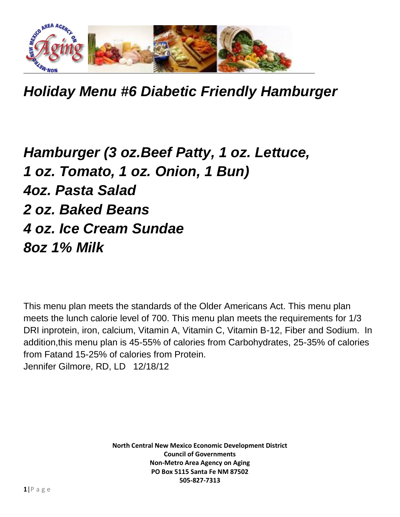

*Holiday Menu #6 Diabetic Friendly Hamburger*

## *Hamburger (3 oz.Beef Patty, 1 oz. Lettuce, 1 oz. Tomato, 1 oz. Onion, 1 Bun) 4oz. Pasta Salad 2 oz. Baked Beans 4 oz. Ice Cream Sundae 8oz 1% Milk*

This menu plan meets the standards of the Older Americans Act. This menu plan meets the lunch calorie level of 700. This menu plan meets the requirements for 1/3 DRI inprotein, iron, calcium, Vitamin A, Vitamin C, Vitamin B-12, Fiber and Sodium. In addition,this menu plan is 45-55% of calories from Carbohydrates, 25-35% of calories from Fatand 15-25% of calories from Protein. Jennifer Gilmore, RD, LD 12/18/12

> **North Central New Mexico Economic Development District Council of Governments Non-Metro Area Agency on Aging PO Box 5115 Santa Fe NM 87502 505-827-7313**